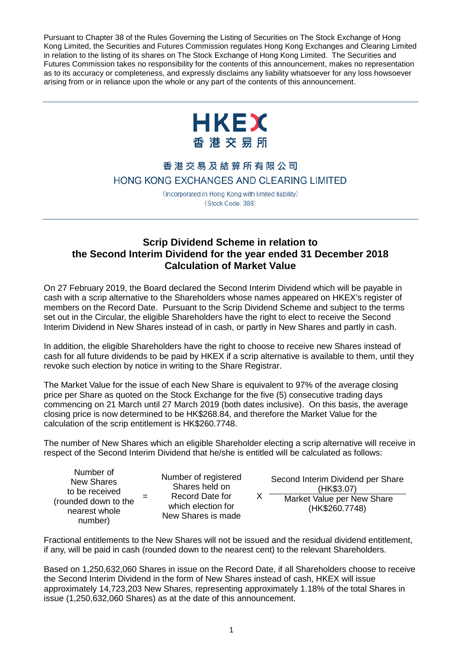Pursuant to Chapter 38 of the Rules Governing the Listing of Securities on The Stock Exchange of Hong Kong Limited, the Securities and Futures Commission regulates Hong Kong Exchanges and Clearing Limited in relation to the listing of its shares on The Stock Exchange of Hong Kong Limited. The Securities and Futures Commission takes no responsibility for the contents of this announcement, makes no representation as to its accuracy or completeness, and expressly disclaims any liability whatsoever for any loss howsoever arising from or in reliance upon the whole or any part of the contents of this announcement.



## 香港交易及結算所有限公司 HONG KONG EXCHANGES AND CLEARING LIMITED

(Incorporated in Hong Kong with limited liability) (Stock Code: 388)

## **Scrip Dividend Scheme in relation to the Second Interim Dividend for the year ended 31 December 2018 Calculation of Market Value**

On 27 February 2019, the Board declared the Second Interim Dividend which will be payable in cash with a scrip alternative to the Shareholders whose names appeared on HKEX's register of members on the Record Date. Pursuant to the Scrip Dividend Scheme and subject to the terms set out in the Circular, the eligible Shareholders have the right to elect to receive the Second Interim Dividend in New Shares instead of in cash, or partly in New Shares and partly in cash.

In addition, the eligible Shareholders have the right to choose to receive new Shares instead of cash for all future dividends to be paid by HKEX if a scrip alternative is available to them, until they revoke such election by notice in writing to the Share Registrar.

The Market Value for the issue of each New Share is equivalent to 97% of the average closing price per Share as quoted on the Stock Exchange for the five (5) consecutive trading days commencing on 21 March until 27 March 2019 (both dates inclusive). On this basis, the average closing price is now determined to be HK\$268.84, and therefore the Market Value for the calculation of the scrip entitlement is HK\$260.7748.

The number of New Shares which an eligible Shareholder electing a scrip alternative will receive in respect of the Second Interim Dividend that he/she is entitled will be calculated as follows:

Number of New Shares to be received (rounded down to the nearest whole number)

=

Number of registered Shares held on Record Date for which election for New Shares is made

 $X$ Second Interim Dividend per Share (HK\$3.07)

Market Value per New Share (HK\$260.7748)

Fractional entitlements to the New Shares will not be issued and the residual dividend entitlement, if any, will be paid in cash (rounded down to the nearest cent) to the relevant Shareholders.

Based on 1,250,632,060 Shares in issue on the Record Date, if all Shareholders choose to receive the Second Interim Dividend in the form of New Shares instead of cash, HKEX will issue approximately 14,723,203 New Shares, representing approximately 1.18% of the total Shares in issue (1,250,632,060 Shares) as at the date of this announcement.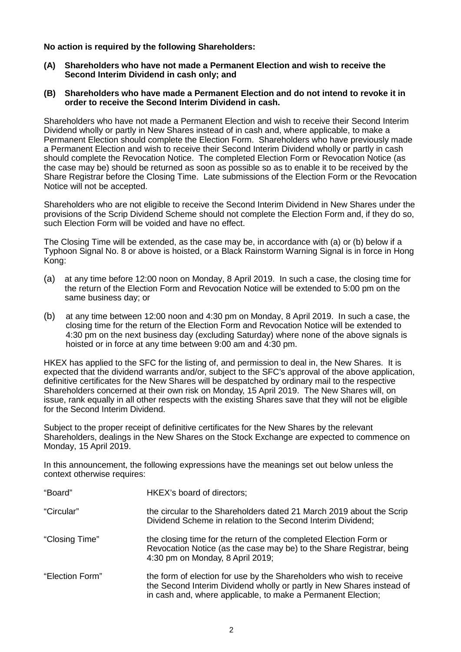**No action is required by the following Shareholders:**

- **(A) Shareholders who have not made a Permanent Election and wish to receive the Second Interim Dividend in cash only; and**
- **(B) Shareholders who have made a Permanent Election and do not intend to revoke it in order to receive the Second Interim Dividend in cash.**

Shareholders who have not made a Permanent Election and wish to receive their Second Interim Dividend wholly or partly in New Shares instead of in cash and, where applicable, to make a Permanent Election should complete the Election Form. Shareholders who have previously made a Permanent Election and wish to receive their Second Interim Dividend wholly or partly in cash should complete the Revocation Notice. The completed Election Form or Revocation Notice (as the case may be) should be returned as soon as possible so as to enable it to be received by the Share Registrar before the Closing Time. Late submissions of the Election Form or the Revocation Notice will not be accepted.

Shareholders who are not eligible to receive the Second Interim Dividend in New Shares under the provisions of the Scrip Dividend Scheme should not complete the Election Form and, if they do so, such Election Form will be voided and have no effect.

The Closing Time will be extended, as the case may be, in accordance with (a) or (b) below if a Typhoon Signal No. 8 or above is hoisted, or a Black Rainstorm Warning Signal is in force in Hong Kong:

- (a) at any time before 12:00 noon on Monday, 8 April 2019. In such a case, the closing time for the return of the Election Form and Revocation Notice will be extended to 5:00 pm on the same business day; or
- (b) at any time between 12:00 noon and 4:30 pm on Monday, 8 April 2019. In such a case, the closing time for the return of the Election Form and Revocation Notice will be extended to 4:30 pm on the next business day (excluding Saturday) where none of the above signals is hoisted or in force at any time between 9:00 am and 4:30 pm.

HKEX has applied to the SFC for the listing of, and permission to deal in, the New Shares. It is expected that the dividend warrants and/or, subject to the SFC's approval of the above application, definitive certificates for the New Shares will be despatched by ordinary mail to the respective Shareholders concerned at their own risk on Monday, 15 April 2019. The New Shares will, on issue, rank equally in all other respects with the existing Shares save that they will not be eligible for the Second Interim Dividend.

Subject to the proper receipt of definitive certificates for the New Shares by the relevant Shareholders, dealings in the New Shares on the Stock Exchange are expected to commence on Monday, 15 April 2019.

In this announcement, the following expressions have the meanings set out below unless the context otherwise requires:

| "Board"         | HKEX's board of directors;                                                                                                                                                                                    |
|-----------------|---------------------------------------------------------------------------------------------------------------------------------------------------------------------------------------------------------------|
| "Circular"      | the circular to the Shareholders dated 21 March 2019 about the Scrip<br>Dividend Scheme in relation to the Second Interim Dividend;                                                                           |
| "Closing Time"  | the closing time for the return of the completed Election Form or<br>Revocation Notice (as the case may be) to the Share Registrar, being<br>4:30 pm on Monday, 8 April 2019;                                 |
| "Election Form" | the form of election for use by the Shareholders who wish to receive<br>the Second Interim Dividend wholly or partly in New Shares instead of<br>in cash and, where applicable, to make a Permanent Election; |